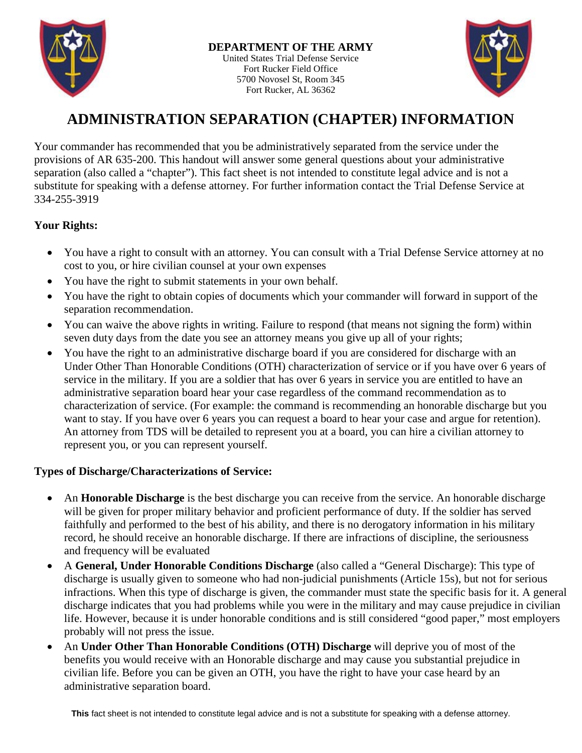

United States Trial Defense Service Fort Rucker Field Office 5700 Novosel St, Room 345 Fort Rucker, AL 36362



# **ADMINISTRATION SEPARATION (CHAPTER) INFORMATION**

Your commander has recommended that you be administratively separated from the service under the provisions of AR 635-200. This handout will answer some general questions about your administrative separation (also called a "chapter"). This fact sheet is not intended to constitute legal advice and is not a substitute for speaking with a defense attorney. For further information contact the Trial Defense Service at 334-255-3919

## **Your Rights:**

- You have a right to consult with an attorney. You can consult with a Trial Defense Service attorney at no cost to you, or hire civilian counsel at your own expenses
- You have the right to submit statements in your own behalf.
- You have the right to obtain copies of documents which your commander will forward in support of the separation recommendation.
- You can waive the above rights in writing. Failure to respond (that means not signing the form) within seven duty days from the date you see an attorney means you give up all of your rights;
- You have the right to an administrative discharge board if you are considered for discharge with an Under Other Than Honorable Conditions (OTH) characterization of service or if you have over 6 years of service in the military. If you are a soldier that has over 6 years in service you are entitled to have an administrative separation board hear your case regardless of the command recommendation as to characterization of service. (For example: the command is recommending an honorable discharge but you want to stay. If you have over 6 years you can request a board to hear your case and argue for retention). An attorney from TDS will be detailed to represent you at a board, you can hire a civilian attorney to represent you, or you can represent yourself.

## **Types of Discharge/Characterizations of Service:**

- An **Honorable Discharge** is the best discharge you can receive from the service. An honorable discharge will be given for proper military behavior and proficient performance of duty. If the soldier has served faithfully and performed to the best of his ability, and there is no derogatory information in his military record, he should receive an honorable discharge. If there are infractions of discipline, the seriousness and frequency will be evaluated
- A **General, Under Honorable Conditions Discharge** (also called a "General Discharge): This type of discharge is usually given to someone who had non-judicial punishments (Article 15s), but not for serious infractions. When this type of discharge is given, the commander must state the specific basis for it. A general discharge indicates that you had problems while you were in the military and may cause prejudice in civilian life. However, because it is under honorable conditions and is still considered "good paper," most employers probably will not press the issue.
- An **Under Other Than Honorable Conditions (OTH) Discharge** will deprive you of most of the benefits you would receive with an Honorable discharge and may cause you substantial prejudice in civilian life. Before you can be given an OTH, you have the right to have your case heard by an administrative separation board.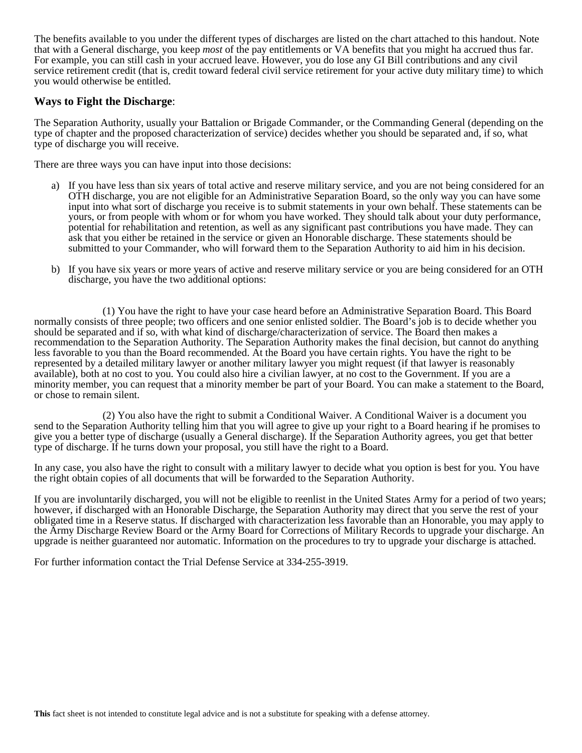The benefits available to you under the different types of discharges are listed on the chart attached to this handout. Note that with a General discharge, you keep *most* of the pay entitlements or VA benefits that you might ha accrued thus far. For example, you can still cash in your accrued leave. However, you do lose any GI Bill contributions and any civil service retirement credit (that is, credit toward federal civil service retirement for your active duty military time) to which you would otherwise be entitled.

### **Ways to Fight the Discharge**:

The Separation Authority, usually your Battalion or Brigade Commander, or the Commanding General (depending on the type of chapter and the proposed characterization of service) decides whether you should be separated and, if so, what type of discharge you will receive.

There are three ways you can have input into those decisions:

- a) If you have less than six years of total active and reserve military service, and you are not being considered for an OTH discharge, you are not eligible for an Administrative Separation Board, so the only way you can have some input into what sort of discharge you receive is to submit statements in your own behalf. These statements can be yours, or from people with whom or for whom you have worked. They should talk about your duty performance, potential for rehabilitation and retention, as well as any significant past contributions you have made. They can ask that you either be retained in the service or given an Honorable discharge. These statements should be submitted to your Commander, who will forward them to the Separation Authority to aid him in his decision.
- b) If you have six years or more years of active and reserve military service or you are being considered for an OTH discharge, you have the two additional options:

(1) You have the right to have your case heard before an Administrative Separation Board. This Board normally consists of three people; two officers and one senior enlisted soldier. The Board's job is to decide whether you should be separated and if so, with what kind of discharge/characterization of service. The Board then makes a recommendation to the Separation Authority. The Separation Authority makes the final decision, but cannot do anything less favorable to you than the Board recommended. At the Board you have certain rights. You have the right to be represented by a detailed military lawyer or another military lawyer you might request (if that lawyer is reasonably available), both at no cost to you. You could also hire a civilian lawyer, at no cost to the Government. If you are a minority member, you can request that a minority member be part of your Board. You can make a statement to the Board, or chose to remain silent.

(2) You also have the right to submit a Conditional Waiver. A Conditional Waiver is a document you send to the Separation Authority telling him that you will agree to give up your right to a Board hearing if he promises to give you a better type of discharge (usually a General discharge). If the Separation Authority agrees, you get that better type of discharge. If he turns down your proposal, you still have the right to a Board.

In any case, you also have the right to consult with a military lawyer to decide what you option is best for you. You have the right obtain copies of all documents that will be forwarded to the Separation Authority.

If you are involuntarily discharged, you will not be eligible to reenlist in the United States Army for a period of two years; however, if discharged with an Honorable Discharge, the Separation Authority may direct that you serve the rest of your obligated time in a Reserve status. If discharged with characterization less favorable than an Honorable, you may apply to the Army Discharge Review Board or the Army Board for Corrections of Military Records to upgrade your discharge. An upgrade is neither guaranteed nor automatic. Information on the procedures to try to upgrade your discharge is attached.

For further information contact the Trial Defense Service at 334-255-3919.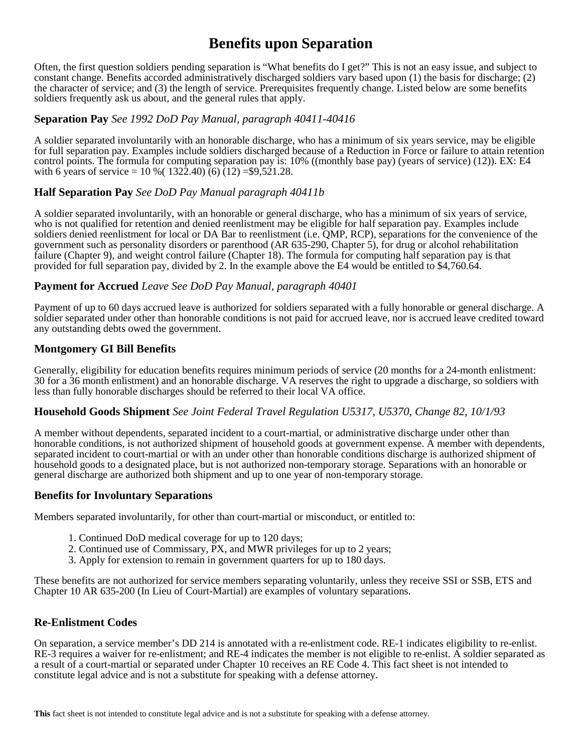# **Benefits upon Separation**

Often, the first question soldiers pending separation is "What benefits do I get?" This is not an easy issue, and subject to constant change. Benefits accorded administratively discharged soldiers vary based upon (1) the basis for discharge; (2) the character of service; and (3) the length of service. Prerequisites frequently change. Listed below are some benefits soldiers frequently ask us about, and the general rules that apply.

## **Separation Pay** *See 1992 DoD Pay Manual, paragraph 40411-40416*

A soldier separated involuntarily with an honorable discharge, who has a minimum of six years service, may be eligible for full separation pay. Examples include soldiers discharged because of a Reduction in Force or failure to attain retention control points. The formula for computing separation pay is: 10% ((monthly base pay) (years of service) (12)). EX: E4 with 6 years of service =  $10\%$  ( $132\hat{2}.40$ ) (6) ( $12$ ) = \$9,521.28.

## **Half Separation Pay** *See DoD Pay Manual paragraph 40411b*

A soldier separated involuntarily, with an honorable or general discharge, who has a minimum of six years of service, who is not qualified for retention and denied reenlistment may be eligible for half separation pay. Examples include soldiers denied reenlistment for local or DA Bar to reenlistment (i.e. QMP, RCP), separations for the convenience of the government such as personality disorders or parenthood (AR 635-290, Chapter 5), for drug or alcohol rehabilitation failure (Chapter 9), and weight control failure (Chapter 18). The formula for computing half separation pay is that provided for full separation pay, divided by 2. In the example above the E4 would be entitled to \$4,760.64.

## **Payment for Accrued** *Leave See DoD Pay Manual, paragraph 40401*

Payment of up to 60 days accrued leave is authorized for soldiers separated with a fully honorable or general discharge. A soldier separated under other than honorable conditions is not paid for accrued leave, nor is accrued leave credited toward any outstanding debts owed the government.

## **Montgomery GI Bill Benefits**

Generally, eligibility for education benefits requires minimum periods of service (20 months for a 24-month enlistment: 30 for a 36 month enlistment) and an honorable discharge. VA reserves the right to upgrade a discharge, so soldiers with less than fully honorable discharges should be referred to their local VA office.

## **Household Goods Shipment** *See Joint Federal Travel Regulation U5317, U5370, Change 82, 10/1/93*

A member without dependents, separated incident to a court-martial, or administrative discharge under other than honorable conditions, is not authorized shipment of household goods at government expense. A member with dependents, separated incident to court-martial or with an under other than honorable conditions discharge is authorized shipment of household goods to a designated place, but is not authorized non-temporary storage. Separations with an honorable or general discharge are authorized both shipment and up to one year of non-temporary storage.

## **Benefits for Involuntary Separations**

Members separated involuntarily, for other than court-martial or misconduct, or entitled to:

- 1. Continued DoD medical coverage for up to 120 days;
- 2. Continued use of Commissary, PX, and MWR privileges for up to 2 years;
- 3. Apply for extension to remain in government quarters for up to 180 days.

These benefits are not authorized for service members separating voluntarily, unless they receive SSI or SSB, ETS and Chapter 10 AR 635-200 (In Lieu of Court-Martial) are examples of voluntary separations.

## **Re-Enlistment Codes**

On separation, a service member's DD 214 is annotated with a re-enlistment code. RE-1 indicates eligibility to re-enlist. RE-3 requires a waiver for re-enlistment; and RE-4 indicates the member is not eligible to re-enlist. A soldier separated as a result of a court-martial or separated under Chapter 10 receives an RE Code 4. This fact sheet is not intended to constitute legal advice and is not a substitute for speaking with a defense attorney.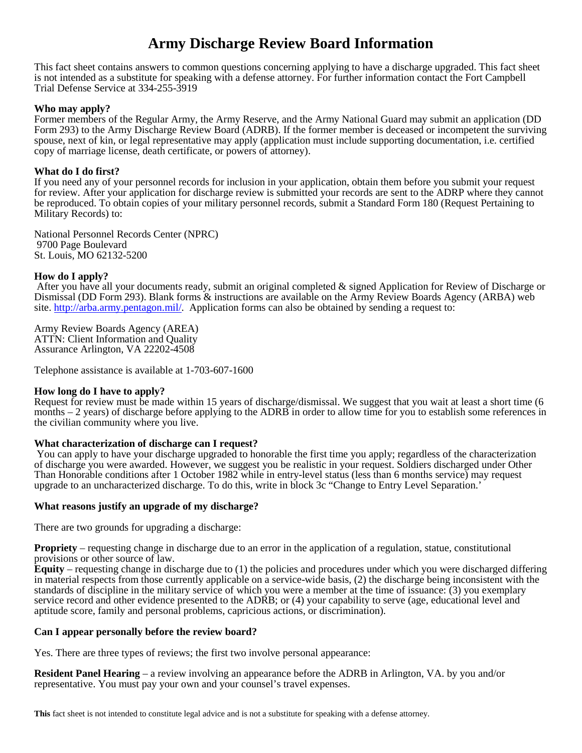# **Army Discharge Review Board Information**

This fact sheet contains answers to common questions concerning applying to have a discharge upgraded. This fact sheet is not intended as a substitute for speaking with a defense attorney. For further information contact the Fort Campbell Trial Defense Service at 334-255-3919

#### **Who may apply?**

Former members of the Regular Army, the Army Reserve, and the Army National Guard may submit an application (DD Form 293) to the Army Discharge Review Board (ADRB). If the former member is deceased or incompetent the surviving spouse, next of kin, or legal representative may apply (application must include supporting documentation, i.e. certified copy of marriage license, death certificate, or powers of attorney).

#### **What do I do first?**

If you need any of your personnel records for inclusion in your application, obtain them before you submit your request for review. After your application for discharge review is submitted your records are sent to the ADRP where they cannot be reproduced. To obtain copies of your military personnel records, submit a Standard Form 180 (Request Pertaining to Military Records) to:

National Personnel Records Center (NPRC) 9700 Page Boulevard St. Louis, MO 62132-5200

#### **How do I apply?**

After you have all your documents ready, submit an original completed & signed Application for Review of Discharge or Dismissal (DD Form 293). Blank forms & instructions are available on the Army Review Boards Agency (ARBA) web site. [http://arba.army.pentagon.mil/.](http://arba.army.pentagon.mil/) Application forms can also be obtained by sending a request to:

Army Review Boards Agency (AREA) ATTN: Client Information and Quality Assurance Arlington, VA 22202-4508

Telephone assistance is available at 1-703-607-1600

#### **How long do I have to apply?**

Request for review must be made within 15 years of discharge/dismissal. We suggest that you wait at least a short time (6 months – 2 years) of discharge before applying to the ADRB in order to allow time for you to establish some references in the civilian community where you live.

#### **What characterization of discharge can I request?**

You can apply to have your discharge upgraded to honorable the first time you apply; regardless of the characterization of discharge you were awarded. However, we suggest you be realistic in your request. Soldiers discharged under Other Than Honorable conditions after 1 October 1982 while in entry-level status (less than 6 months service) may request upgrade to an uncharacterized discharge. To do this, write in block 3c "Change to Entry Level Separation.'

#### **What reasons justify an upgrade of my discharge?**

There are two grounds for upgrading a discharge:

**Propriety** – requesting change in discharge due to an error in the application of a regulation, statue, constitutional provisions or other source of law.

**Equity** – requesting change in discharge due to (1) the policies and procedures under which you were discharged differing in material respects from those currently applicable on a service-wide basis, (2) the discharge being inconsistent with the standards of discipline in the military service of which you were a member at the time of issuance: (3) you exemplary service record and other evidence presented to the ADRB; or (4) your capability to serve (age, educational level and aptitude score, family and personal problems, capricious actions, or discrimination).

#### **Can I appear personally before the review board?**

Yes. There are three types of reviews; the first two involve personal appearance:

**Resident Panel Hearing** – a review involving an appearance before the ADRB in Arlington, VA. by you and/or representative. You must pay your own and your counsel's travel expenses.

**This** fact sheet is not intended to constitute legal advice and is not a substitute for speaking with a defense attorney.